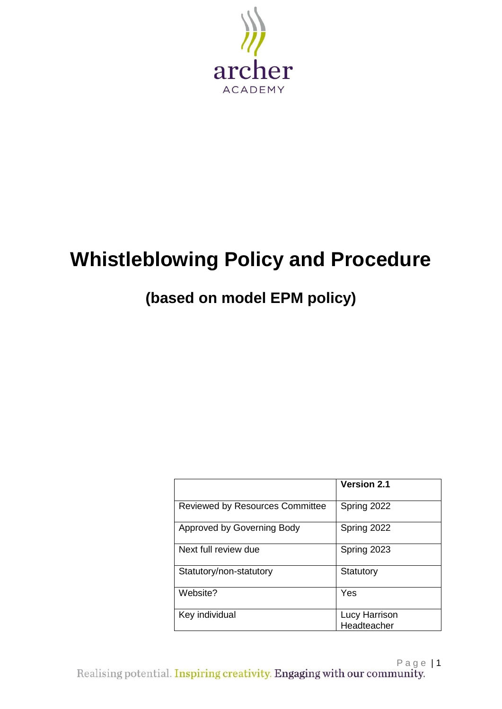

# **Whistleblowing Policy and Procedure**

## **(based on model EPM policy)**

|                                        | <b>Version 2.1</b>           |
|----------------------------------------|------------------------------|
| <b>Reviewed by Resources Committee</b> | Spring 2022                  |
| Approved by Governing Body             | Spring 2022                  |
| Next full review due                   | Spring 2023                  |
| Statutory/non-statutory                | Statutory                    |
| Website?                               | Yes                          |
| Key individual                         | Lucy Harrison<br>Headteacher |

Page |1<br>Realising potential. Inspiring creativity. Engaging with our community.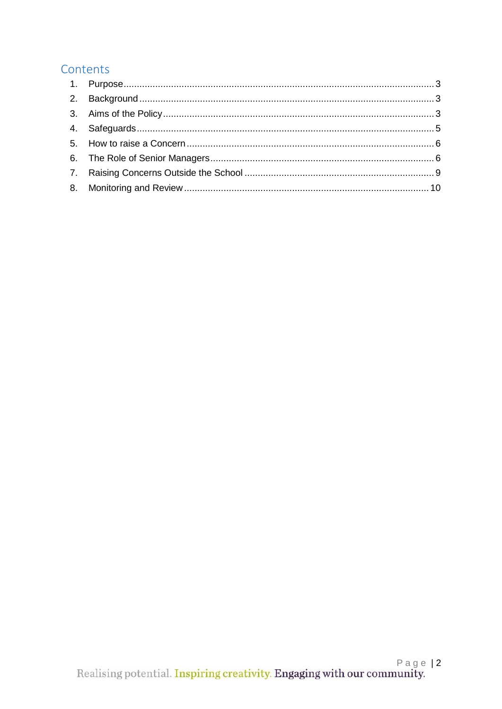### Contents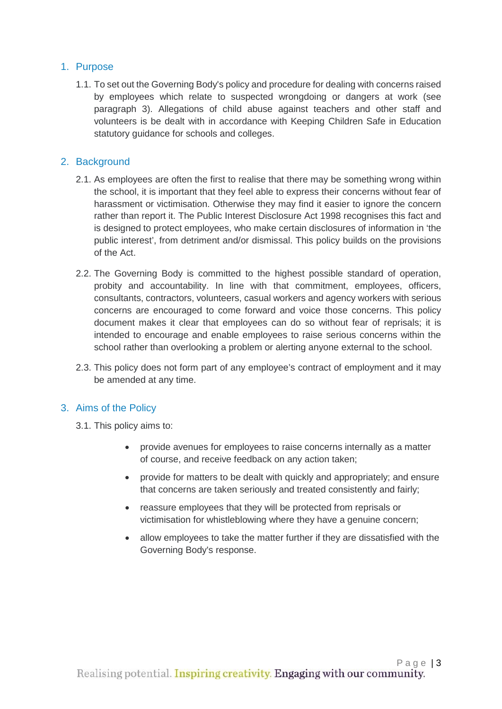#### <span id="page-2-0"></span>1. Purpose

1.1. To set out the Governing Body's policy and procedure for dealing with concerns raised by employees which relate to suspected wrongdoing or dangers at work (see paragraph 3). Allegations of child abuse against teachers and other staff and volunteers is be dealt with in accordance with Keeping Children Safe in Education statutory guidance for schools and colleges.

#### <span id="page-2-1"></span>2. Background

- 2.1. As employees are often the first to realise that there may be something wrong within the school, it is important that they feel able to express their concerns without fear of harassment or victimisation. Otherwise they may find it easier to ignore the concern rather than report it. The Public Interest Disclosure Act 1998 recognises this fact and is designed to protect employees, who make certain disclosures of information in 'the public interest', from detriment and/or dismissal. This policy builds on the provisions of the Act.
- 2.2. The Governing Body is committed to the highest possible standard of operation, probity and accountability. In line with that commitment, employees, officers, consultants, contractors, volunteers, casual workers and agency workers with serious concerns are encouraged to come forward and voice those concerns. This policy document makes it clear that employees can do so without fear of reprisals; it is intended to encourage and enable employees to raise serious concerns within the school rather than overlooking a problem or alerting anyone external to the school.
- 2.3. This policy does not form part of any employee's contract of employment and it may be amended at any time.

#### <span id="page-2-2"></span>3. Aims of the Policy

- 3.1. This policy aims to:
	- provide avenues for employees to raise concerns internally as a matter of course, and receive feedback on any action taken;
	- provide for matters to be dealt with quickly and appropriately; and ensure that concerns are taken seriously and treated consistently and fairly;
	- reassure employees that they will be protected from reprisals or victimisation for whistleblowing where they have a genuine concern;
	- allow employees to take the matter further if they are dissatisfied with the Governing Body's response.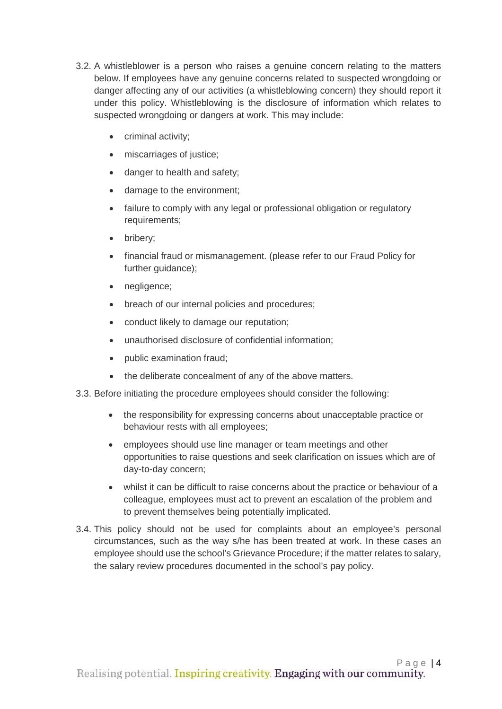- 3.2. A whistleblower is a person who raises a genuine concern relating to the matters below. If employees have any genuine concerns related to suspected wrongdoing or danger affecting any of our activities (a whistleblowing concern) they should report it under this policy. Whistleblowing is the disclosure of information which relates to suspected wrongdoing or dangers at work. This may include:
	- criminal activity;
	- miscarriages of justice;
	- danger to health and safety;
	- damage to the environment;
	- failure to comply with any legal or professional obligation or regulatory requirements;
	- bribery;
	- financial fraud or mismanagement. (please refer to our Fraud Policy for further guidance);
	- negligence;
	- breach of our internal policies and procedures;
	- conduct likely to damage our reputation;
	- unauthorised disclosure of confidential information;
	- public examination fraud;
	- the deliberate concealment of any of the above matters.
- 3.3. Before initiating the procedure employees should consider the following:
	- the responsibility for expressing concerns about unacceptable practice or behaviour rests with all employees;
	- employees should use line manager or team meetings and other opportunities to raise questions and seek clarification on issues which are of day-to-day concern;
	- whilst it can be difficult to raise concerns about the practice or behaviour of a colleague, employees must act to prevent an escalation of the problem and to prevent themselves being potentially implicated.
- 3.4. This policy should not be used for complaints about an employee's personal circumstances, such as the way s/he has been treated at work. In these cases an employee should use the school's Grievance Procedure; if the matter relates to salary, the salary review procedures documented in the school's pay policy.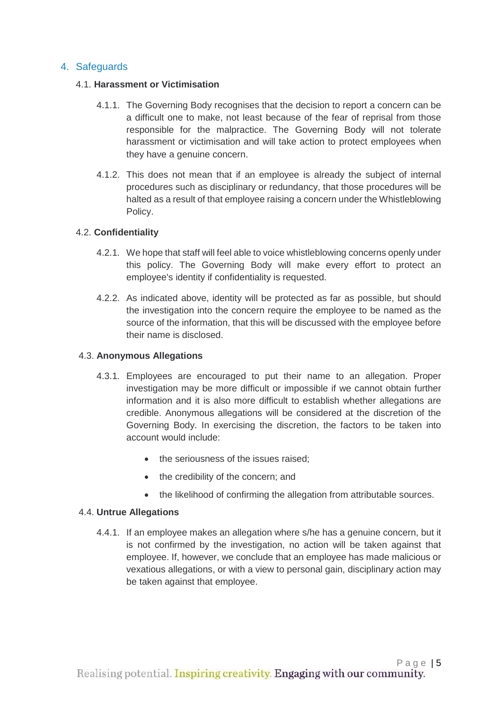#### <span id="page-4-0"></span>4. Safeguards

#### 4.1. **Harassment or Victimisation**

- 4.1.1. The Governing Body recognises that the decision to report a concern can be a difficult one to make, not least because of the fear of reprisal from those responsible for the malpractice. The Governing Body will not tolerate harassment or victimisation and will take action to protect employees when they have a genuine concern.
- 4.1.2. This does not mean that if an employee is already the subject of internal procedures such as disciplinary or redundancy, that those procedures will be halted as a result of that employee raising a concern under the Whistleblowing Policy.

#### 4.2. **Confidentiality**

- 4.2.1. We hope that staff will feel able to voice whistleblowing concerns openly under this policy. The Governing Body will make every effort to protect an employee's identity if confidentiality is requested.
- 4.2.2. As indicated above, identity will be protected as far as possible, but should the investigation into the concern require the employee to be named as the source of the information, that this will be discussed with the employee before their name is disclosed.

#### 4.3. **Anonymous Allegations**

- 4.3.1. Employees are encouraged to put their name to an allegation. Proper investigation may be more difficult or impossible if we cannot obtain further information and it is also more difficult to establish whether allegations are credible. Anonymous allegations will be considered at the discretion of the Governing Body. In exercising the discretion, the factors to be taken into account would include:
	- the seriousness of the issues raised:
	- the credibility of the concern; and
	- the likelihood of confirming the allegation from attributable sources.

#### 4.4. **Untrue Allegations**

4.4.1. If an employee makes an allegation where s/he has a genuine concern, but it is not confirmed by the investigation, no action will be taken against that employee. If, however, we conclude that an employee has made malicious or vexatious allegations, or with a view to personal gain, disciplinary action may be taken against that employee.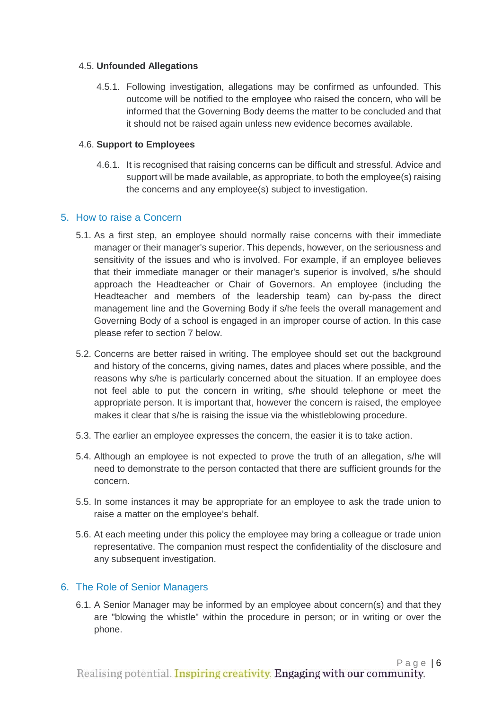#### 4.5. **Unfounded Allegations**

4.5.1. Following investigation, allegations may be confirmed as unfounded. This outcome will be notified to the employee who raised the concern, who will be informed that the Governing Body deems the matter to be concluded and that it should not be raised again unless new evidence becomes available.

#### 4.6. **Support to Employees**

4.6.1. It is recognised that raising concerns can be difficult and stressful. Advice and support will be made available, as appropriate, to both the employee(s) raising the concerns and any employee(s) subject to investigation.

#### <span id="page-5-0"></span>5. How to raise a Concern

- 5.1. As a first step, an employee should normally raise concerns with their immediate manager or their manager's superior. This depends, however, on the seriousness and sensitivity of the issues and who is involved. For example, if an employee believes that their immediate manager or their manager's superior is involved, s/he should approach the Headteacher or Chair of Governors. An employee (including the Headteacher and members of the leadership team) can by-pass the direct management line and the Governing Body if s/he feels the overall management and Governing Body of a school is engaged in an improper course of action. In this case please refer to section 7 below.
- 5.2. Concerns are better raised in writing. The employee should set out the background and history of the concerns, giving names, dates and places where possible, and the reasons why s/he is particularly concerned about the situation. If an employee does not feel able to put the concern in writing, s/he should telephone or meet the appropriate person. It is important that, however the concern is raised, the employee makes it clear that s/he is raising the issue via the whistleblowing procedure.
- 5.3. The earlier an employee expresses the concern, the easier it is to take action.
- 5.4. Although an employee is not expected to prove the truth of an allegation, s/he will need to demonstrate to the person contacted that there are sufficient grounds for the concern.
- 5.5. In some instances it may be appropriate for an employee to ask the trade union to raise a matter on the employee's behalf.
- 5.6. At each meeting under this policy the employee may bring a colleague or trade union representative. The companion must respect the confidentiality of the disclosure and any subsequent investigation.

#### <span id="page-5-1"></span>6. The Role of Senior Managers

6.1. A Senior Manager may be informed by an employee about concern(s) and that they are "blowing the whistle" within the procedure in person; or in writing or over the phone.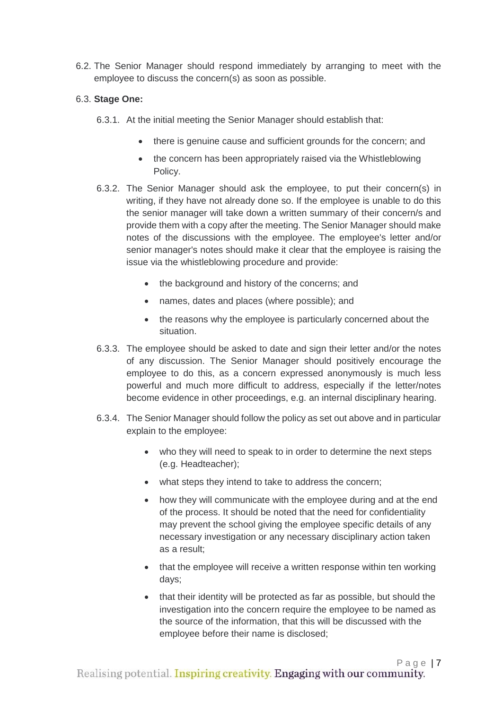6.2. The Senior Manager should respond immediately by arranging to meet with the employee to discuss the concern(s) as soon as possible.

#### 6.3. **Stage One:**

- 6.3.1. At the initial meeting the Senior Manager should establish that:
	- there is genuine cause and sufficient grounds for the concern; and
	- the concern has been appropriately raised via the Whistleblowing Policy.
- 6.3.2. The Senior Manager should ask the employee, to put their concern(s) in writing, if they have not already done so. If the employee is unable to do this the senior manager will take down a written summary of their concern/s and provide them with a copy after the meeting. The Senior Manager should make notes of the discussions with the employee. The employee's letter and/or senior manager's notes should make it clear that the employee is raising the issue via the whistleblowing procedure and provide:
	- the background and history of the concerns; and
	- names, dates and places (where possible); and
	- the reasons why the employee is particularly concerned about the situation.
- 6.3.3. The employee should be asked to date and sign their letter and/or the notes of any discussion. The Senior Manager should positively encourage the employee to do this, as a concern expressed anonymously is much less powerful and much more difficult to address, especially if the letter/notes become evidence in other proceedings, e.g. an internal disciplinary hearing.
- 6.3.4. The Senior Manager should follow the policy as set out above and in particular explain to the employee:
	- who they will need to speak to in order to determine the next steps (e.g. Headteacher);
	- what steps they intend to take to address the concern;
	- how they will communicate with the employee during and at the end of the process. It should be noted that the need for confidentiality may prevent the school giving the employee specific details of any necessary investigation or any necessary disciplinary action taken as a result;
	- that the employee will receive a written response within ten working days;
	- that their identity will be protected as far as possible, but should the investigation into the concern require the employee to be named as the source of the information, that this will be discussed with the employee before their name is disclosed;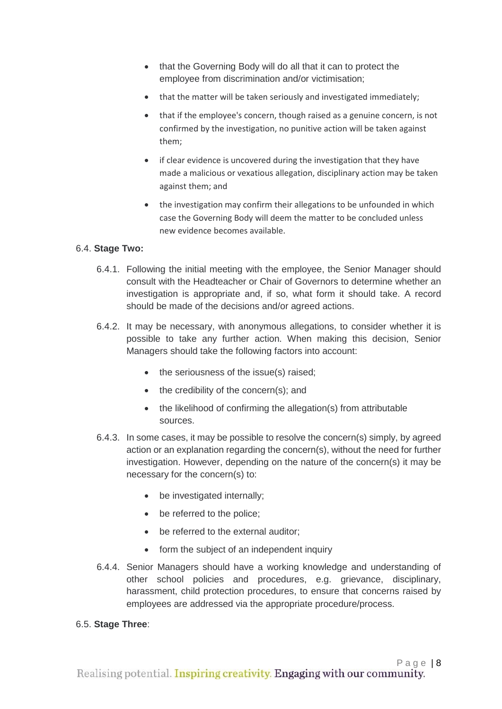- that the Governing Body will do all that it can to protect the employee from discrimination and/or victimisation;
- that the matter will be taken seriously and investigated immediately;
- that if the employee's concern, though raised as a genuine concern, is not confirmed by the investigation, no punitive action will be taken against them;
- if clear evidence is uncovered during the investigation that they have made a malicious or vexatious allegation, disciplinary action may be taken against them; and
- the investigation may confirm their allegations to be unfounded in which case the Governing Body will deem the matter to be concluded unless new evidence becomes available.

#### 6.4. **Stage Two:**

- 6.4.1. Following the initial meeting with the employee, the Senior Manager should consult with the Headteacher or Chair of Governors to determine whether an investigation is appropriate and, if so, what form it should take. A record should be made of the decisions and/or agreed actions.
- 6.4.2. It may be necessary, with anonymous allegations, to consider whether it is possible to take any further action. When making this decision, Senior Managers should take the following factors into account:
	- the seriousness of the issue(s) raised;
	- the credibility of the concern(s); and
	- the likelihood of confirming the allegation(s) from attributable sources.
- 6.4.3. In some cases, it may be possible to resolve the concern(s) simply, by agreed action or an explanation regarding the concern(s), without the need for further investigation. However, depending on the nature of the concern(s) it may be necessary for the concern(s) to:
	- be investigated internally:
	- be referred to the police;
	- be referred to the external auditor:
	- form the subject of an independent inquiry
- 6.4.4. Senior Managers should have a working knowledge and understanding of other school policies and procedures, e.g. grievance, disciplinary, harassment, child protection procedures, to ensure that concerns raised by employees are addressed via the appropriate procedure/process.

#### 6.5. **Stage Three**: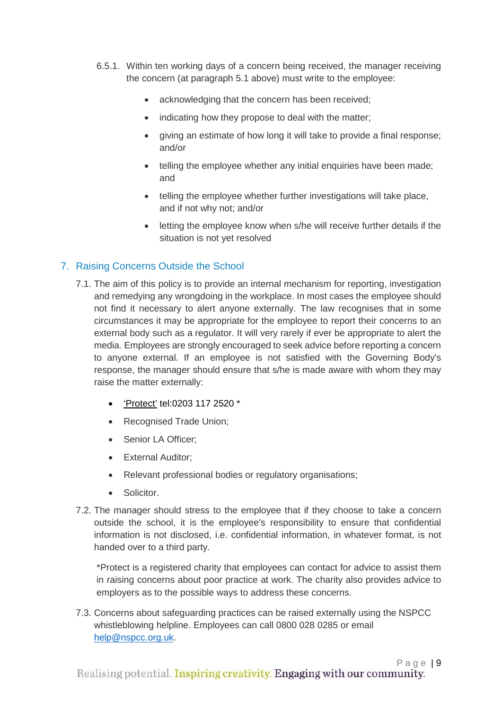- 6.5.1. Within ten working days of a concern being received, the manager receiving the concern (at paragraph 5.1 above) must write to the employee:
	- acknowledging that the concern has been received;
	- indicating how they propose to deal with the matter;
	- giving an estimate of how long it will take to provide a final response; and/or
	- telling the employee whether any initial enquiries have been made: and
	- telling the employee whether further investigations will take place, and if not why not; and/or
	- letting the employee know when s/he will receive further details if the situation is not yet resolved

#### <span id="page-8-0"></span>7. Raising Concerns Outside the School

- 7.1. The aim of this policy is to provide an internal mechanism for reporting, investigation and remedying any wrongdoing in the workplace. In most cases the employee should not find it necessary to alert anyone externally. The law recognises that in some circumstances it may be appropriate for the employee to report their concerns to an external body such as a regulator. It will very rarely if ever be appropriate to alert the media. Employees are strongly encouraged to seek advice before reporting a concern to anyone external. If an employee is not satisfied with the Governing Body's response, the manager should ensure that s/he is made aware with whom they may raise the matter externally:
	- ['Protect'](http://www.pcaw.co.uk/) <tel:0203> 117 2520 \*
	- Recognised Trade Union;
	- Senior LA Officer;
	- External Auditor;
	- Relevant professional bodies or regulatory organisations;
	- Solicitor.
- 7.2. The manager should stress to the employee that if they choose to take a concern outside the school, it is the employee's responsibility to ensure that confidential information is not disclosed, i.e. confidential information, in whatever format, is not handed over to a third party.

\*Protect is a registered charity that employees can contact for advice to assist them in raising concerns about poor practice at work. The charity also provides advice to employers as to the possible ways to address these concerns.

7.3. Concerns about safeguarding practices can be raised externally using the NSPCC whistleblowing helpline. Employees can call 0800 028 0285 or email [help@nspcc.org.uk.](mailto:help@nspcc.org.uk)